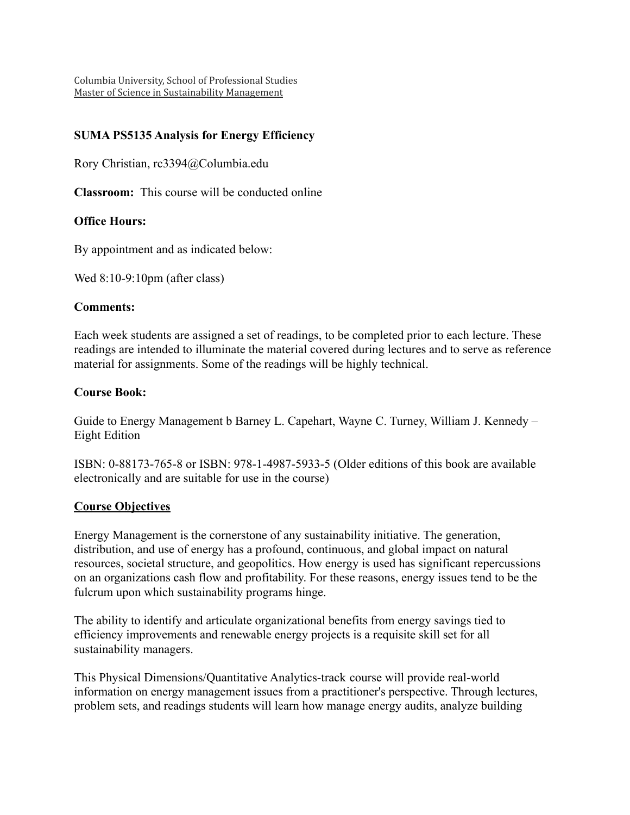Columbia University, School of Professional Studies Master of Science in Sustainability Management

# **SUMA PS5135 Analysis for Energy Efficiency**

Rory Christian, rc3394@Columbia.edu

**Classroom:** This course will be conducted online

## **Office Hours:**

By appointment and as indicated below:

Wed 8:10-9:10pm (after class)

#### **Comments:**

Each week students are assigned a set of readings, to be completed prior to each lecture. These readings are intended to illuminate the material covered during lectures and to serve as reference material for assignments. Some of the readings will be highly technical.

#### **Course Book:**

Guide to Energy Management b Barney L. Capehart, Wayne C. Turney, William J. Kennedy – Eight Edition

ISBN: 0-88173-765-8 or ISBN: 978-1-4987-5933-5 (Older editions of this book are available electronically and are suitable for use in the course)

#### **Course Objectives**

Energy Management is the cornerstone of any sustainability initiative. The generation, distribution, and use of energy has a profound, continuous, and global impact on natural resources, societal structure, and geopolitics. How energy is used has significant repercussions on an organizations cash flow and profitability. For these reasons, energy issues tend to be the fulcrum upon which sustainability programs hinge.

The ability to identify and articulate organizational benefits from energy savings tied to efficiency improvements and renewable energy projects is a requisite skill set for all sustainability managers.

This Physical Dimensions/Quantitative Analytics-track course will provide real-world information on energy management issues from a practitioner's perspective. Through lectures, problem sets, and readings students will learn how manage energy audits, analyze building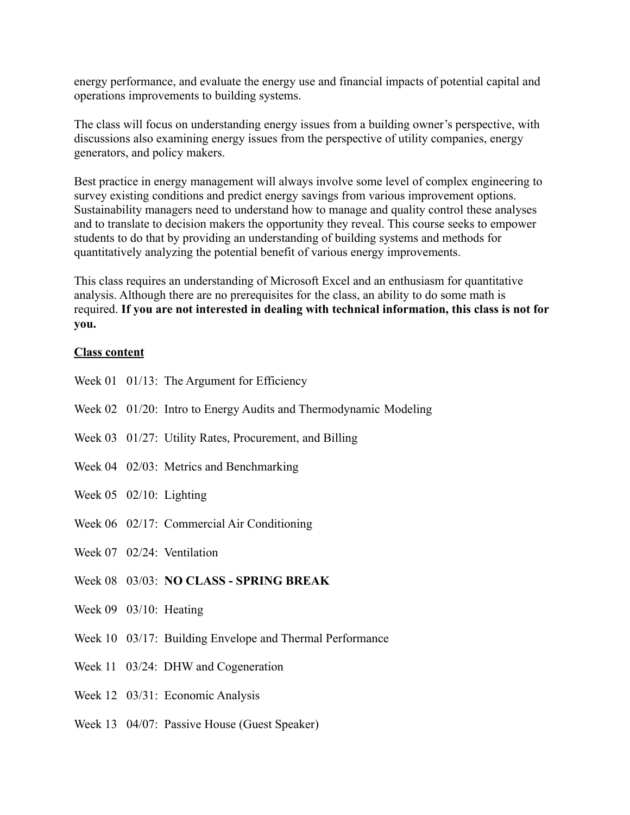energy performance, and evaluate the energy use and financial impacts of potential capital and operations improvements to building systems.

The class will focus on understanding energy issues from a building owner's perspective, with discussions also examining energy issues from the perspective of utility companies, energy generators, and policy makers.

Best practice in energy management will always involve some level of complex engineering to survey existing conditions and predict energy savings from various improvement options. Sustainability managers need to understand how to manage and quality control these analyses and to translate to decision makers the opportunity they reveal. This course seeks to empower students to do that by providing an understanding of building systems and methods for quantitatively analyzing the potential benefit of various energy improvements.

This class requires an understanding of Microsoft Excel and an enthusiasm for quantitative analysis. Although there are no prerequisites for the class, an ability to do some math is required. **If you are not interested in dealing with technical information, this class is not for you.**

#### **Class content**

- Week 01 01/13: The Argument for Efficiency
- Week 02 01/20: Intro to Energy Audits and Thermodynamic Modeling
- Week 03 01/27: Utility Rates, Procurement, and Billing
- Week 04 02/03: Metrics and Benchmarking
- Week 05 02/10: Lighting
- Week 06 02/17: Commercial Air Conditioning
- Week 07 02/24: Ventilation
- Week 08 03/03: **NO CLASS SPRING BREAK**
- Week 09 03/10: Heating
- Week 10 03/17: Building Envelope and Thermal Performance
- Week 11 03/24: DHW and Cogeneration
- Week 12 03/31: Economic Analysis
- Week 13 04/07: Passive House (Guest Speaker)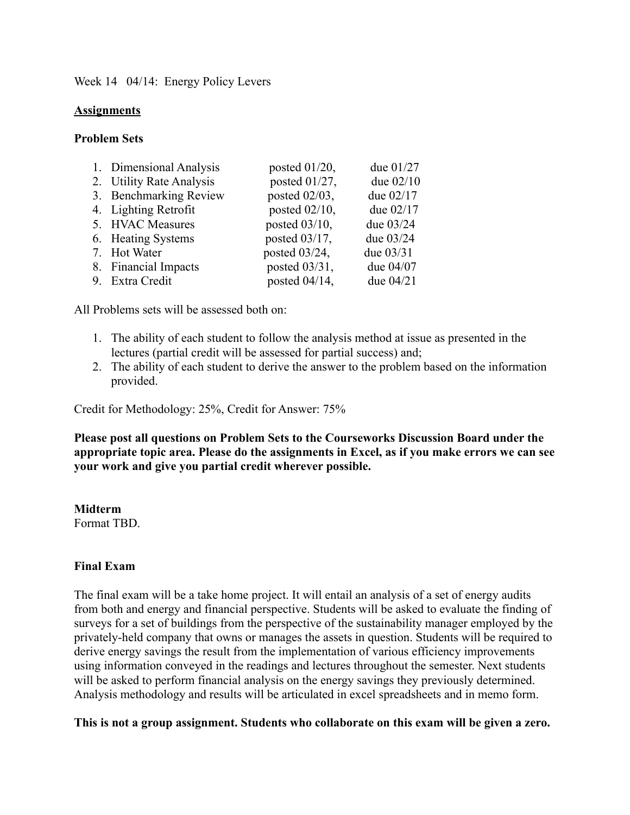Week 14 04/14: Energy Policy Levers

## **Assignments**

### **Problem Sets**

| 1. Dimensional Analysis  | posted $01/20$ , | due 01/27   |
|--------------------------|------------------|-------------|
| 2. Utility Rate Analysis | posted 01/27,    | due 02/10   |
| 3. Benchmarking Review   | posted 02/03,    | due 02/17   |
| 4. Lighting Retrofit     | posted $02/10$ , | due $02/17$ |
| 5. HVAC Measures         | posted 03/10,    | due 03/24   |
| 6. Heating Systems       | posted $03/17$ , | due 03/24   |
| 7. Hot Water             | posted $03/24$ , | due 03/31   |
| 8. Financial Impacts     | posted 03/31,    | due 04/07   |
| 9. Extra Credit          | posted $04/14$ , | due 04/21   |

All Problems sets will be assessed both on:

- 1. The ability of each student to follow the analysis method at issue as presented in the lectures (partial credit will be assessed for partial success) and;
- 2. The ability of each student to derive the answer to the problem based on the information provided.

Credit for Methodology: 25%, Credit for Answer: 75%

**Please post all questions on Problem Sets to the Courseworks Discussion Board under the appropriate topic area. Please do the assignments in Excel, as if you make errors we can see your work and give you partial credit wherever possible.**

**Midterm** Format TBD.

## **Final Exam**

The final exam will be a take home project. It will entail an analysis of a set of energy audits from both and energy and financial perspective. Students will be asked to evaluate the finding of surveys for a set of buildings from the perspective of the sustainability manager employed by the privately-held company that owns or manages the assets in question. Students will be required to derive energy savings the result from the implementation of various efficiency improvements using information conveyed in the readings and lectures throughout the semester. Next students will be asked to perform financial analysis on the energy savings they previously determined. Analysis methodology and results will be articulated in excel spreadsheets and in memo form.

**This is not a group assignment. Students who collaborate on this exam will be given a zero.**